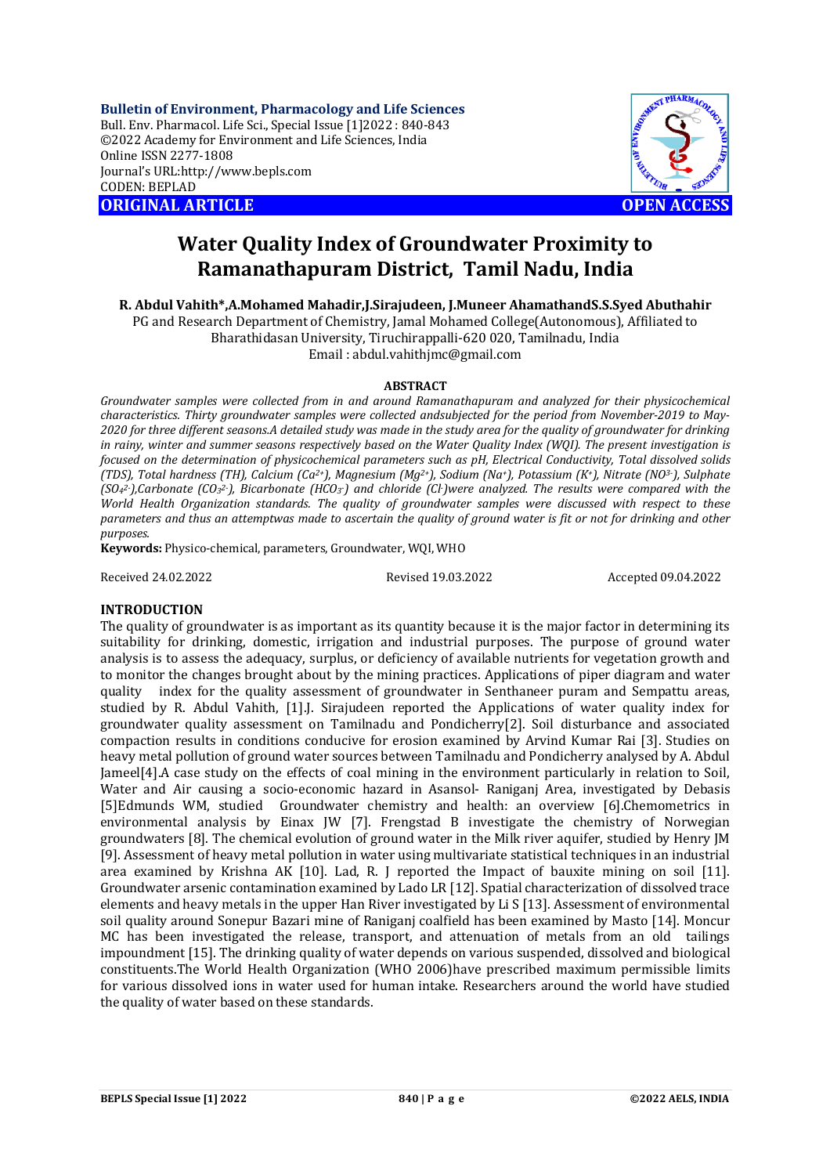**Bulletin of Environment, Pharmacology and Life Sciences** Bull. Env. Pharmacol. Life Sci., Special Issue [1]2022 : 840-843 ©2022 Academy for Environment and Life Sciences, India Online ISSN 2277-1808 Journal's URL:<http://www.bepls.com> CODEN: BEPLAD **ORIGINAL ARTICLE OPEN ACCESS** 



# **Water Quality Index of Groundwater Proximity to Ramanathapuram District, Tamil Nadu, India**

**R. Abdul Vahith\*,A.Mohamed Mahadir,J.Sirajudeen, J.Muneer AhamathandS.S.Syed Abuthahir**

PG and Research Department of Chemistry, Jamal Mohamed College(Autonomous), Affiliated to Bharathidasan University, Tiruchirappalli-620 020, Tamilnadu, India

Email : [abdul.vahithjmc@gmail.com](mailto:abdul.vahithjmc@gmail.com)

## **ABSTRACT**

*Groundwater samples were collected from in and around Ramanathapuram and analyzed for their physicochemical characteristics. Thirty groundwater samples were collected andsubjected for the period from November-2019 to May-2020 for three different seasons.A detailed study was made in the study area for the quality of groundwater for drinking in rainy, winter and summer seasons respectively based on the Water Quality Index (WQI). The present investigation is focused on the determination of physicochemical parameters such as pH, Electrical Conductivity, Total dissolved solids (TDS), Total hardness (TH), Calcium (Ca2+), Magnesium (Mg2+), Sodium (Na+), Potassium (K+), Nitrate (NO3-), Sulphate (SO<sup>4</sup> 2-),Carbonate (CO<sup>3</sup> 2-), Bicarbonate (HCO<sup>3</sup> -) and chloride (Cl-)were analyzed. The results were compared with the World Health Organization standards. The quality of groundwater samples were discussed with respect to these parameters and thus an attemptwas made to ascertain the quality of ground water is fit or not for drinking and other purposes.*

**Keywords:** Physico-chemical, parameters, Groundwater, WQI, WHO

Received 24.02.2022 Revised 19.03.2022 Accepted 09.04.2022

## **INTRODUCTION**

The quality of groundwater is as important as its quantity because it is the major factor in determining its suitability for drinking, domestic, irrigation and industrial purposes. The purpose of ground water analysis is to assess the adequacy, surplus, or deficiency of available nutrients for vegetation growth and to monitor the changes brought about by the mining practices. Applications of piper diagram and water quality index for the quality assessment of groundwater in Senthaneer puram and Sempattu areas, studied by R. Abdul Vahith, [1].J. Sirajudeen reported the Applications of water quality index for groundwater quality assessment on Tamilnadu and Pondicherry[2]. Soil disturbance and associated compaction results in conditions conducive for erosion examined by Arvind Kumar Rai [3]. Studies on heavy metal pollution of ground water sources between Tamilnadu and Pondicherry analysed by A. Abdul Jameel[4].A case study on the effects of coal mining in the environment particularly in relation to Soil, Water and Air causing a socio-economic hazard in Asansol- Raniganj Area, investigated by Debasis [5]Edmunds WM, studied Groundwater chemistry and health: an overview [6].Chemometrics in environmental analysis by Einax JW [7]. Frengstad B investigate the chemistry of Norwegian groundwaters [8]. The chemical evolution of ground water in the Milk river aquifer, studied by Henry JM [9]. Assessment of heavy metal pollution in water using multivariate statistical techniques in an industrial area examined by Krishna AK [10]. Lad, R. J reported the Impact of bauxite mining on soil [11]. Groundwater arsenic contamination examined by Lado LR [12]. Spatial characterization of dissolved trace elements and heavy metals in the upper Han River investigated by Li S [13]. Assessment of environmental soil quality around Sonepur Bazari mine of Raniganj coalfield has been examined by Masto [14]. Moncur MC has been investigated the release, transport, and attenuation of metals from an old tailings impoundment [15]. The drinking quality of water depends on various suspended, dissolved and biological constituents.The World Health Organization (WHO 2006)have prescribed maximum permissible limits for various dissolved ions in water used for human intake. Researchers around the world have studied the quality of water based on these standards.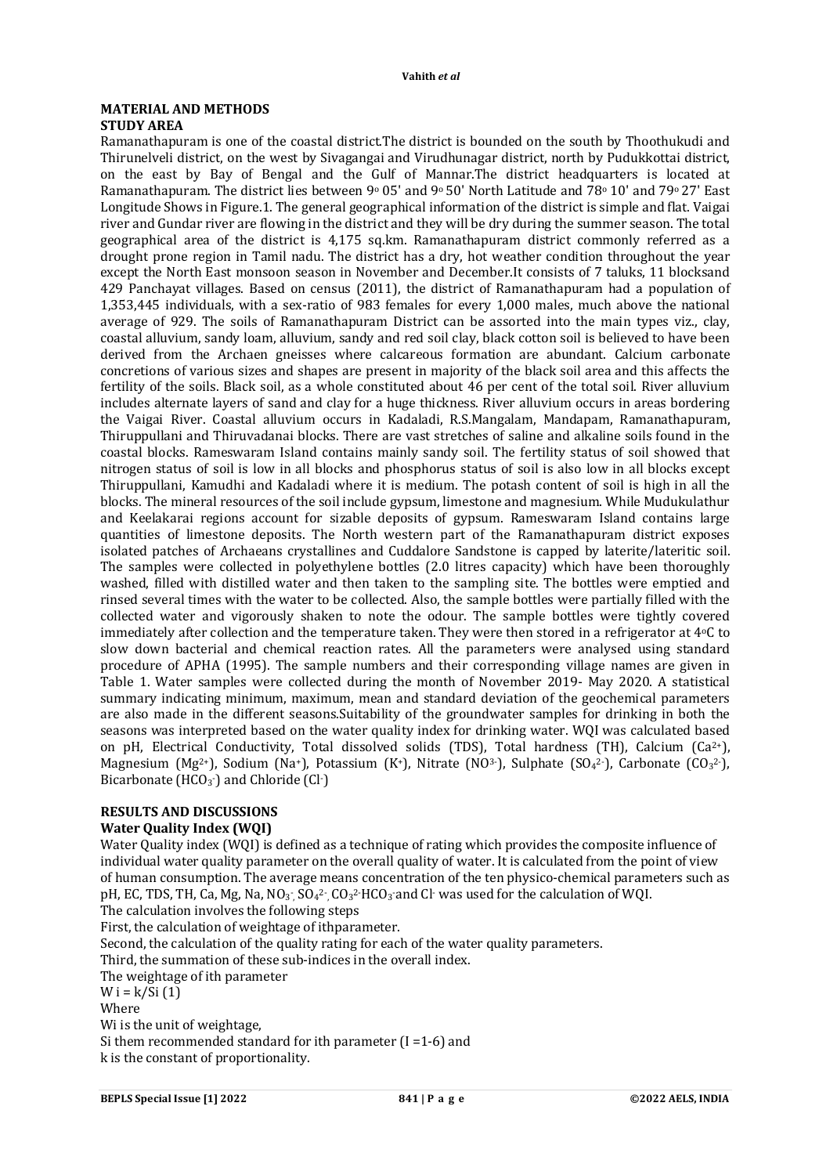#### **MATERIAL AND METHODS STUDY AREA**

Ramanathapuram is one of the coastal district.The district is bounded on the south by Thoothukudi and Thirunelveli district, on the west by Sivagangai and Virudhunagar district, north by Pudukkottai district, on the east by Bay of Bengal and the Gulf of Mannar.The district headquarters is located at Ramanathapuram. The district lies between 9<sup>0</sup> 05' and 9<sup>0</sup> 50' North Latitude and 78<sup>0</sup> 10' and 79<sup>0</sup> 27' East Longitude Shows in Figure.1. The general geographical information of the district is simple and flat. Vaigai river and Gundar river are flowing in the district and they will be dry during the summer season. The total geographical area of the district is 4,175 sq.km. Ramanathapuram district commonly referred as a drought prone region in Tamil nadu. The district has a dry, hot weather condition throughout the year except the North East monsoon season in November and December.It consists of 7 taluks, 11 blocksand 429 Panchayat villages. Based on census (2011), the district of Ramanathapuram had a population of 1,353,445 individuals, with a sex-ratio of 983 females for every 1,000 males, much above the national average of 929. The soils of Ramanathapuram District can be assorted into the main types viz., clay, coastal alluvium, sandy loam, alluvium, sandy and red soil clay, black cotton soil is believed to have been derived from the Archaen gneisses where calcareous formation are abundant. Calcium carbonate concretions of various sizes and shapes are present in majority of the black soil area and this affects the fertility of the soils. Black soil, as a whole constituted about 46 per cent of the total soil. River alluvium includes alternate layers of sand and clay for a huge thickness. River alluvium occurs in areas bordering the Vaigai River. Coastal alluvium occurs in Kadaladi, R.S.Mangalam, Mandapam, Ramanathapuram, Thiruppullani and Thiruvadanai blocks. There are vast stretches of saline and alkaline soils found in the coastal blocks. Rameswaram Island contains mainly sandy soil. The fertility status of soil showed that nitrogen status of soil is low in all blocks and phosphorus status of soil is also low in all blocks except Thiruppullani, Kamudhi and Kadaladi where it is medium. The potash content of soil is high in all the blocks. The mineral resources of the soil include gypsum, limestone and magnesium. While Mudukulathur and Keelakarai regions account for sizable deposits of gypsum. Rameswaram Island contains large quantities of limestone deposits. The North western part of the Ramanathapuram district exposes isolated patches of Archaeans crystallines and Cuddalore Sandstone is capped by laterite/lateritic soil. The samples were collected in polyethylene bottles (2.0 litres capacity) which have been thoroughly washed, filled with distilled water and then taken to the sampling site. The bottles were emptied and rinsed several times with the water to be collected. Also, the sample bottles were partially filled with the collected water and vigorously shaken to note the odour. The sample bottles were tightly covered immediately after collection and the temperature taken. They were then stored in a refrigerator at 4°C to slow down bacterial and chemical reaction rates. All the parameters were analysed using standard procedure of APHA (1995). The sample numbers and their corresponding village names are given in Table 1. Water samples were collected during the month of November 2019- May 2020. A statistical summary indicating minimum, maximum, mean and standard deviation of the geochemical parameters are also made in the different seasons.Suitability of the groundwater samples for drinking in both the seasons was interpreted based on the water quality index for drinking water. WQI was calculated based on pH, Electrical Conductivity, Total dissolved solids (TDS), Total hardness (TH), Calcium (Ca<sup>2+</sup>), Magnesium (Mg<sup>2+</sup>), Sodium (Na+), Potassium (K+), Nitrate (NO<sup>3-</sup>), Sulphate (SO<sub>4</sub>2<sup>-</sup>), Carbonate (CO<sub>3</sub><sup>2-</sup>), Bicarbonate ( $HCO<sub>3</sub>$ ) and Chloride (Cl $\cdot$ )

### **RESULTS AND DISCUSSIONS**

### **Water Quality Index (WQI)**

Water Quality index (WQI) is defined as a technique of rating which provides the composite influence of individual water quality parameter on the overall quality of water. It is calculated from the point of view of human consumption. The average means concentration of the ten physico-chemical parameters such as pH, EC, TDS, TH, Ca, Mg, Na, NO<sub>3</sub> , SO<sub>4</sub><sup>2</sup> , CO<sub>3</sub><sup>2</sup> HCO<sub>3</sub> and Cl<sup>-</sup> was used for the calculation of WQI. The calculation involves the following steps

First, the calculation of weightage of ithparameter.

Second, the calculation of the quality rating for each of the water quality parameters.

Third, the summation of these sub-indices in the overall index.

The weightage of ith parameter

W i =  $k/Si(1)$ 

**Where** 

Wi is the unit of weightage,

Si them recommended standard for ith parameter (I =1-6) and k is the constant of proportionality.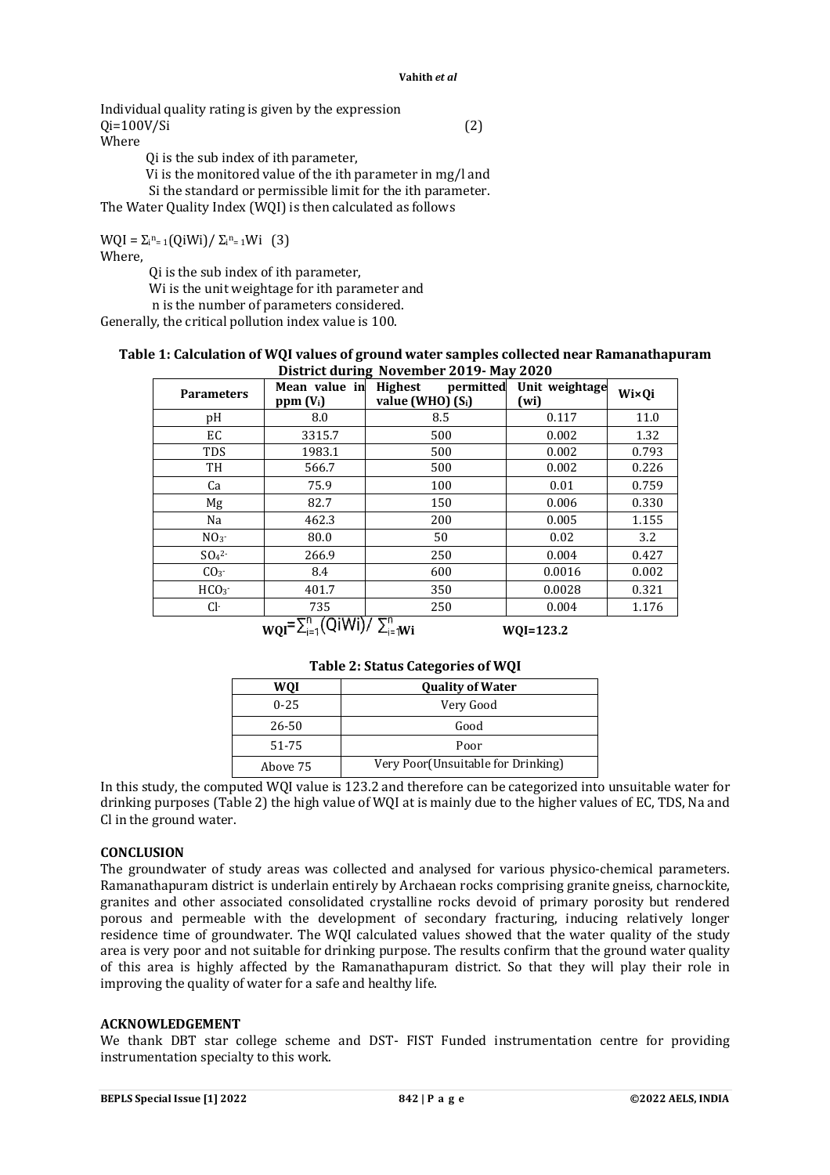#### **Vahith** *et al*

Individual quality rating is given by the expression  $Qi = 100V/Si$  (2) Where Qi is the sub index of ith parameter,

Vi is the monitored value of the ith parameter in mg/l and

Si the standard or permissible limit for the ith parameter.

The Water Quality Index (WQI) is then calculated as follows

 $WQI = \sum_{i=1}^{n} (QiWi) / \sum_{i=1}^{n} Wi$  (3) Where,

Qi is the sub index of ith parameter,

Wi is the unit weightage for ith parameter and

n is the number of parameters considered.

Generally, the critical pollution index value is 100.

#### **Table 1: Calculation of WQI values of ground water samples collected near Ramanathapuram District during November 2019- May 2020**

| <b>Parameters</b> | Mean value in<br>$ppm (V_i)$ | 0<br><b>Highest</b><br>permitted<br>value (WHO) $(S_i)$ | Unit weightage<br>(wi) | Wi×Qi |
|-------------------|------------------------------|---------------------------------------------------------|------------------------|-------|
| pH                | 8.0                          | 8.5                                                     | 0.117                  | 11.0  |
| EC                | 3315.7                       | 500                                                     | 0.002                  | 1.32  |
| <b>TDS</b>        | 1983.1                       | 500                                                     | 0.002                  | 0.793 |
| TH                | 566.7                        | 500                                                     | 0.002                  | 0.226 |
| Ca                | 75.9                         | 100                                                     | 0.01                   | 0.759 |
| Mg                | 82.7                         | 150                                                     | 0.006                  | 0.330 |
| Na                | 462.3                        | 200                                                     | 0.005                  | 1.155 |
| NO <sub>3</sub>   | 80.0                         | 50                                                      | 0.02                   | 3.2   |
| $SO42$ -          | 266.9                        | 250                                                     | 0.004                  | 0.427 |
| CO <sub>3</sub>   | 8.4                          | 600                                                     | 0.0016                 | 0.002 |
| HCO <sub>3</sub>  | 401.7                        | 350                                                     | 0.0028                 | 0.321 |
| Cŀ                | 735                          | 250                                                     | 0.004                  | 1.176 |
|                   | הם ותואו: מה                 |                                                         |                        |       |

 $W0I = \sum_{i=1}^{N} (QiWi)/\sum_{i=N}^{N} Wi$  WQI=123.2

|          | . .                                |  |
|----------|------------------------------------|--|
| WOI      | <b>Quality of Water</b>            |  |
| $0 - 25$ | Very Good                          |  |
| 26-50    | Good                               |  |
| 51-75    | Poor                               |  |
| Above 75 | Very Poor(Unsuitable for Drinking) |  |

In this study, the computed WQI value is 123.2 and therefore can be categorized into unsuitable water for drinking purposes (Table 2) the high value of WQI at is mainly due to the higher values of EC, TDS, Na and Cl in the ground water.

### **CONCLUSION**

The groundwater of study areas was collected and analysed for various physico-chemical parameters. Ramanathapuram district is underlain entirely by Archaean rocks comprising granite gneiss, charnockite, granites and other associated consolidated crystalline rocks devoid of primary porosity but rendered porous and permeable with the development of secondary fracturing, inducing relatively longer residence time of groundwater. The WQI calculated values showed that the water quality of the study area is very poor and not suitable for drinking purpose. The results confirm that the ground water quality of this area is highly affected by the Ramanathapuram district. So that they will play their role in improving the quality of water for a safe and healthy life.

### **ACKNOWLEDGEMENT**

We thank DBT star college scheme and DST- FIST Funded instrumentation centre for providing instrumentation specialty to this work.